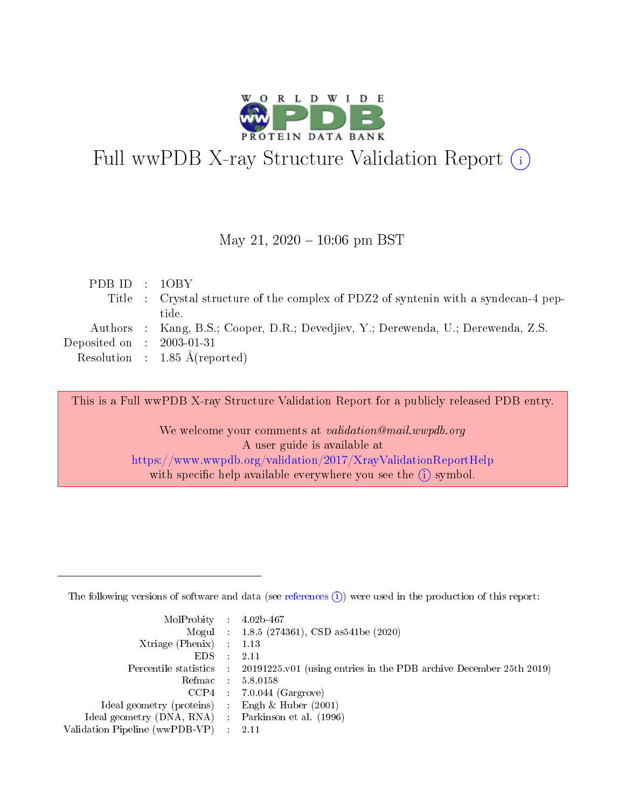

# Full wwPDB X-ray Structure Validation Report (i)

#### May 21,  $2020 - 10:06$  pm BST

| PDBID : 10BY                |                                                                                    |
|-----------------------------|------------------------------------------------------------------------------------|
|                             | Title: Crystal structure of the complex of PDZ2 of syntenin with a syndecan-4 pep- |
|                             | tide.                                                                              |
|                             | Authors : Kang, B.S.; Cooper, D.R.; Devedjiev, Y.; Derewenda, U.; Derewenda, Z.S.  |
| Deposited on : $2003-01-31$ |                                                                                    |
|                             | Resolution : $1.85 \text{ Å}$ (reported)                                           |
|                             |                                                                                    |

This is a Full wwPDB X-ray Structure Validation Report for a publicly released PDB entry.

We welcome your comments at validation@mail.wwpdb.org A user guide is available at <https://www.wwpdb.org/validation/2017/XrayValidationReportHelp> with specific help available everywhere you see the  $(i)$  symbol.

The following versions of software and data (see [references](https://www.wwpdb.org/validation/2017/XrayValidationReportHelp#references)  $(1)$ ) were used in the production of this report:

| $MolProbability$ : 4.02b-467                      |                              |                                                                                            |
|---------------------------------------------------|------------------------------|--------------------------------------------------------------------------------------------|
|                                                   |                              | Mogul : $1.8.5$ (274361), CSD as 541be (2020)                                              |
| Xtriage (Phenix) $: 1.13$                         |                              |                                                                                            |
| EDS –                                             | $\sim$                       | -2.11                                                                                      |
|                                                   |                              | Percentile statistics : 20191225.v01 (using entries in the PDB archive December 25th 2019) |
| Refmac : 5.8.0158                                 |                              |                                                                                            |
| CCP4                                              |                              | $7.0.044$ (Gargrove)                                                                       |
| Ideal geometry (proteins)                         | $\mathcal{L}_{\mathrm{eff}}$ | Engh & Huber $(2001)$                                                                      |
| Ideal geometry (DNA, RNA) Parkinson et al. (1996) |                              |                                                                                            |
| Validation Pipeline (wwPDB-VP) : 2.11             |                              |                                                                                            |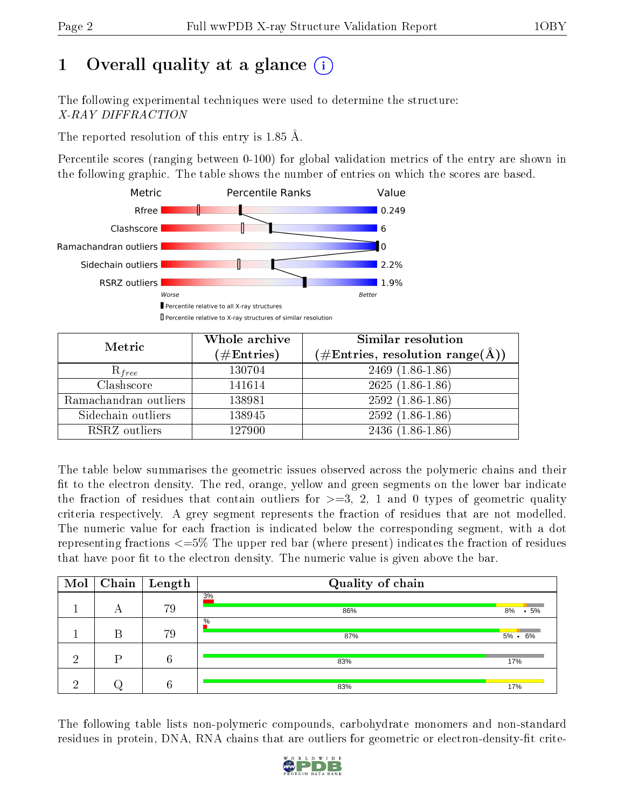## 1 [O](https://www.wwpdb.org/validation/2017/XrayValidationReportHelp#overall_quality)verall quality at a glance  $(i)$

The following experimental techniques were used to determine the structure: X-RAY DIFFRACTION

The reported resolution of this entry is 1.85 Å.

Percentile scores (ranging between 0-100) for global validation metrics of the entry are shown in the following graphic. The table shows the number of entries on which the scores are based.



| Metric                | Whole archive<br>$(\#\text{Entries})$ | Similar resolution<br>$(\#\text{Entries}, \text{resolution range}(\text{\AA}))$ |
|-----------------------|---------------------------------------|---------------------------------------------------------------------------------|
| $R_{free}$            | 130704                                | $2469$ $(1.86-1.86)$                                                            |
| Clashscore            | 141614                                | $2625(1.86-1.86)$                                                               |
| Ramachandran outliers | 138981                                | $2592(1.86-1.86)$                                                               |
| Sidechain outliers    | 138945                                | $2592(1.86-1.86)$                                                               |
| RSRZ outliers         | 127900                                | $2436(1.86-1.86)$                                                               |

The table below summarises the geometric issues observed across the polymeric chains and their fit to the electron density. The red, orange, yellow and green segments on the lower bar indicate the fraction of residues that contain outliers for  $>=3, 2, 1$  and 0 types of geometric quality criteria respectively. A grey segment represents the fraction of residues that are not modelled. The numeric value for each fraction is indicated below the corresponding segment, with a dot representing fractions <=5% The upper red bar (where present) indicates the fraction of residues that have poor fit to the electron density. The numeric value is given above the bar.

| Mol      |   | $\boxed{\text{Chain}}$ Length | Quality of chain |                  |
|----------|---|-------------------------------|------------------|------------------|
|          | А | 79                            | 3%<br>86%        | $8\%$ $\cdot$ 5% |
|          | В | 79                            | $\%$<br>87%      | $5\% \cdot 6\%$  |
| ച        | D | 6                             | 83%              | 17%              |
| $\Omega$ |   | 6                             | 83%              | 17%              |

The following table lists non-polymeric compounds, carbohydrate monomers and non-standard residues in protein, DNA, RNA chains that are outliers for geometric or electron-density-fit crite-

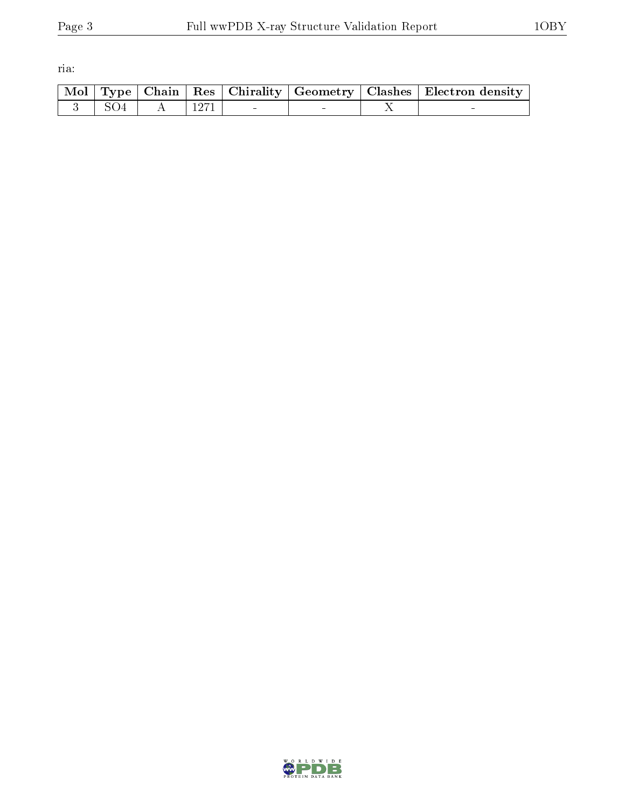ria:

|  |  |  | Mol   Type   Chain   Res   Chirality   Geometry   Clashes   Electron density |
|--|--|--|------------------------------------------------------------------------------|
|  |  |  |                                                                              |

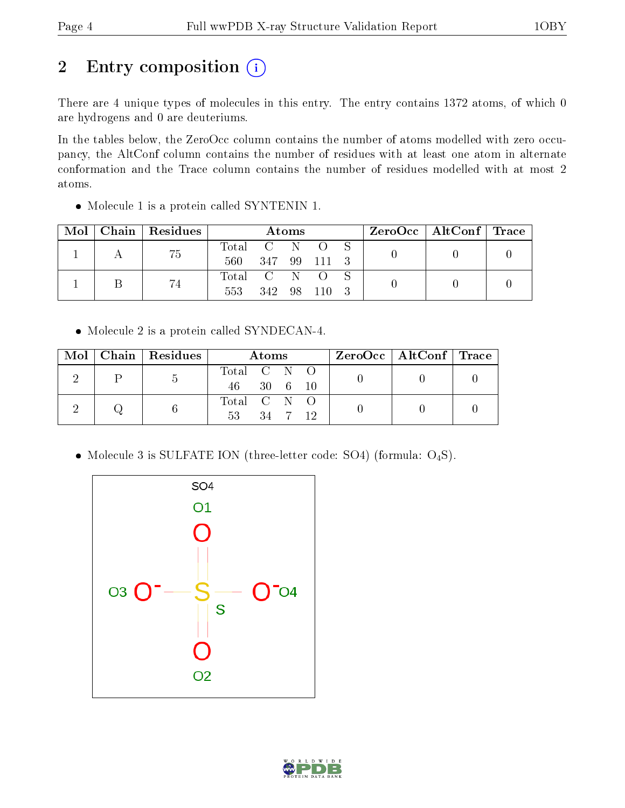## 2 Entry composition (i)

There are 4 unique types of molecules in this entry. The entry contains 1372 atoms, of which 0 are hydrogens and 0 are deuteriums.

In the tables below, the ZeroOcc column contains the number of atoms modelled with zero occupancy, the AltConf column contains the number of residues with at least one atom in alternate conformation and the Trace column contains the number of residues modelled with at most 2 atoms.

Molecule 1 is a protein called SYNTENIN 1.

| Mol |  | Chain   Residues | Atoms         |              |  |        | $\text{ZeroOcc}$   AltConf   Trace |  |  |  |
|-----|--|------------------|---------------|--------------|--|--------|------------------------------------|--|--|--|
|     |  | 75               | Total C N O S |              |  |        |                                    |  |  |  |
|     |  |                  | 560           | 347 99 111 3 |  |        |                                    |  |  |  |
|     |  | 74               | Total C N O   |              |  |        |                                    |  |  |  |
|     |  |                  | 553           | 342 98       |  | $-110$ |                                    |  |  |  |

Molecule 2 is a protein called SYNDECAN-4.

|  | $\text{Mol}$   Chain   Residues | Atoms                         | $\text{ZeroOcc} \mid \text{AltConf} \mid \text{Trace}$ |  |
|--|---------------------------------|-------------------------------|--------------------------------------------------------|--|
|  | Ð                               | Total C N O<br>46 30 6 10     |                                                        |  |
|  |                                 | Total C N O<br>-53<br>34 7 12 |                                                        |  |

• Molecule 3 is SULFATE ION (three-letter code: SO4) (formula:  $O_4S$ ).



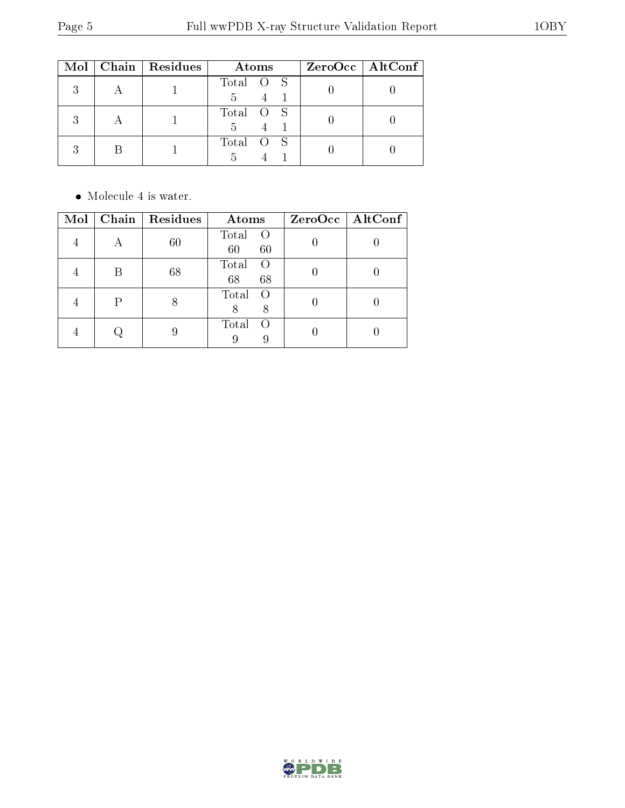|         | Mol   Chain   Residues | Atoms          | $ZeroOcc$   AltConf |
|---------|------------------------|----------------|---------------------|
| 2<br>., |                        | Total O S<br>5 |                     |
| 9       |                        | Total O S<br>5 |                     |
| 2       |                        | Total O S      |                     |

• Molecule 4 is water.

| Mol |   | Chain   Residues | Atoms                               | ZeroOcc   AltConf |
|-----|---|------------------|-------------------------------------|-------------------|
|     |   | $60\,$           | Total<br>$\Omega$<br>60<br>60       |                   |
|     |   | 68               | Total<br>$\Omega$<br>68<br>68       |                   |
|     | P |                  | Total<br>$\Omega$<br>8<br>8         |                   |
|     |   |                  | Total<br>$\left( \right)$<br>9<br>9 |                   |

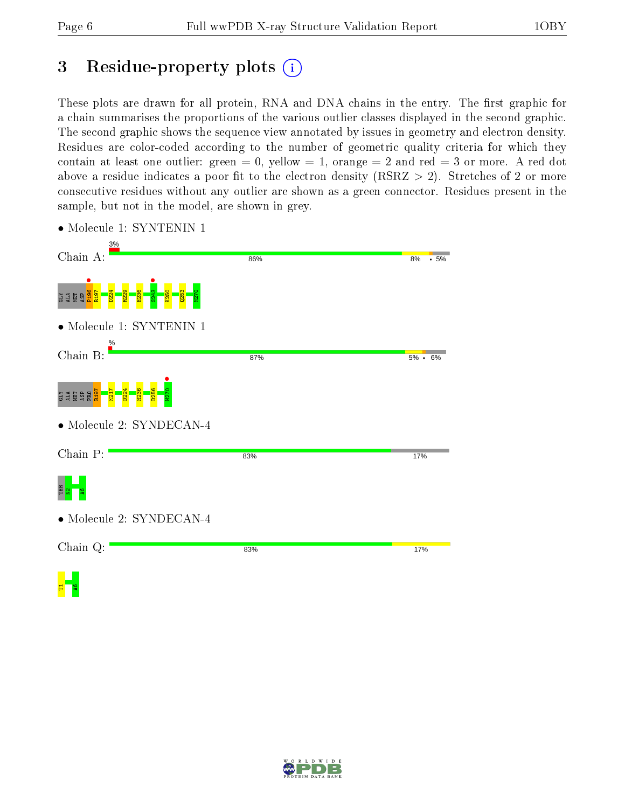## 3 Residue-property plots  $(i)$

These plots are drawn for all protein, RNA and DNA chains in the entry. The first graphic for a chain summarises the proportions of the various outlier classes displayed in the second graphic. The second graphic shows the sequence view annotated by issues in geometry and electron density. Residues are color-coded according to the number of geometric quality criteria for which they contain at least one outlier: green  $= 0$ , yellow  $= 1$ , orange  $= 2$  and red  $= 3$  or more. A red dot above a residue indicates a poor fit to the electron density (RSRZ  $> 2$ ). Stretches of 2 or more consecutive residues without any outlier are shown as a green connector. Residues present in the sample, but not in the model, are shown in grey.

| $3\%$<br>Chain A:                           | 86% | 8%<br>•5%       |
|---------------------------------------------|-----|-----------------|
| R <sub>19</sub><br><b>THE</b><br><b>CLY</b> |     |                 |
| $\bullet$ Molecule 1: SYNTENIN 1<br>%       |     |                 |
| Chain B:                                    | 87% | $5\% \cdot 6\%$ |
| <b>THE</b><br>PRO<br>ΧTD                    |     |                 |
| • Molecule 2: SYNDECAN-4                    |     |                 |
| Chain P:                                    | 83% | 17%             |
|                                             |     |                 |
| • Molecule 2: SYNDECAN-4                    |     |                 |
| Chain Q:                                    | 83% | 17%             |
|                                             |     |                 |

• Molecule 1: SYNTENIN 1

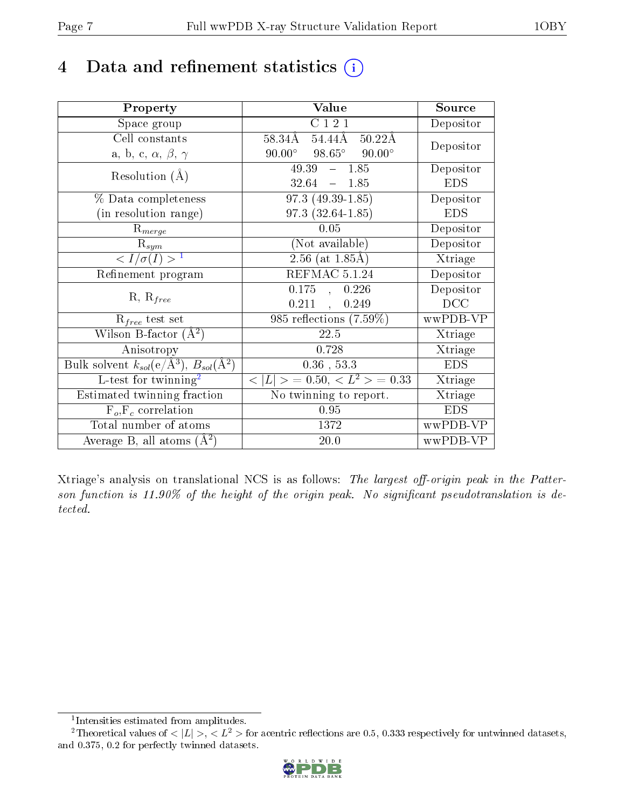## 4 Data and refinement statistics  $(i)$

| Property                                                   | Value                                             | Source     |
|------------------------------------------------------------|---------------------------------------------------|------------|
| Space group                                                | C 1 2 1                                           | Depositor  |
| Cell constants                                             | 54.44Å<br>58.34Å<br>$50.22\text{\AA}$             | Depositor  |
| a, b, c, $\alpha$ , $\beta$ , $\gamma$                     | $90.00^\circ$<br>$98.65^{\circ}$<br>$90.00^\circ$ |            |
| Resolution $(A)$                                           | 49.39<br>$-1.85$                                  | Depositor  |
|                                                            | 32.64<br>$-1.85$                                  | <b>EDS</b> |
| % Data completeness                                        | $97.3(49.39-1.85)$                                | Depositor  |
| (in resolution range)                                      | $97.3(32.64 - 1.85)$                              | <b>EDS</b> |
| $R_{merge}$                                                | 0.05                                              | Depositor  |
| $\mathrm{R}_{sym}$                                         | (Not available)                                   | Depositor  |
| $\langle I/\sigma(I) \rangle$ <sup>1</sup>                 | $2.56$ (at 1.85Å)                                 | Xtriage    |
| Refinement program                                         | REFMAC 5.1.24                                     | Depositor  |
| $R, R_{free}$                                              | $0.175$ , $0.226$                                 | Depositor  |
|                                                            | $0.211$ ,<br>0.249                                | DCC        |
| $R_{free}$ test set                                        | 985 reflections (7.59%)                           | wwPDB-VP   |
| Wilson B-factor $(\AA^2)$                                  | 22.5                                              | Xtriage    |
| Anisotropy                                                 | 0.728                                             | Xtriage    |
| Bulk solvent $k_{sol}$ (e/Å <sup>3</sup> ), $B_{sol}(A^2)$ | $0.36$ , 53.3                                     | <b>EDS</b> |
| L-test for twinning <sup>2</sup>                           | $< L >$ = 0.50, $< L2$ > = 0.33                   | Xtriage    |
| Estimated twinning fraction                                | No twinning to report.                            | Xtriage    |
| $F_o, F_c$ correlation                                     | 0.95                                              | <b>EDS</b> |
| Total number of atoms                                      | 1372                                              | wwPDB-VP   |
| Average B, all atoms $(A^2)$                               | 20.0                                              | wwPDB-VP   |

Xtriage's analysis on translational NCS is as follows: The largest off-origin peak in the Patterson function is  $11.90\%$  of the height of the origin peak. No significant pseudotranslation is detected.

<sup>&</sup>lt;sup>2</sup>Theoretical values of  $\langle |L| \rangle$ ,  $\langle L^2 \rangle$  for acentric reflections are 0.5, 0.333 respectively for untwinned datasets, and 0.375, 0.2 for perfectly twinned datasets.



<span id="page-6-1"></span><span id="page-6-0"></span><sup>1</sup> Intensities estimated from amplitudes.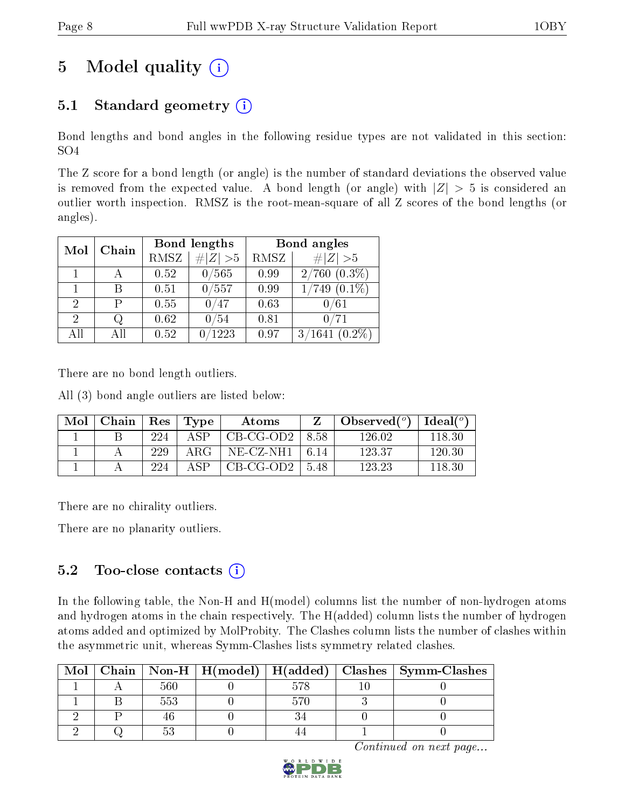## 5 Model quality  $(i)$

## 5.1 Standard geometry  $(i)$

Bond lengths and bond angles in the following residue types are not validated in this section: SO4

The Z score for a bond length (or angle) is the number of standard deviations the observed value is removed from the expected value. A bond length (or angle) with  $|Z| > 5$  is considered an outlier worth inspection. RMSZ is the root-mean-square of all Z scores of the bond lengths (or angles).

| Mol | Chain |      | Bond lengths    | Bond angles |                             |  |
|-----|-------|------|-----------------|-------------|-----------------------------|--|
|     |       | RMSZ | $\# Z  > 5$     | RMSZ        | # $ Z >5$                   |  |
|     |       | 0.52 | /565            | 0.99        | $2/760$ $(0.3\%)$           |  |
|     | В     | 0.51 | 0/557           | 0.99        | $(0.1\%)$<br>$^{\prime}749$ |  |
| 2   | P     | 0.55 | 47              | 0.63        | /61                         |  |
| 2   |       | 0.62 | 54              | 0.81        |                             |  |
| AIJ | Αll   | 0.52 | $^{\prime}1223$ | 0.97        | 3/1641<br>$(0.2\%)$         |  |

There are no bond length outliers.

All (3) bond angle outliers are listed below:

| Mol | Chain | Res | Type | <b>Atoms</b> |       | Observed $(°)$ | $\text{Ideal}(\textsuperscript{o})$ |
|-----|-------|-----|------|--------------|-------|----------------|-------------------------------------|
|     |       | 224 | ΔSΡ  | $CB-CG-OD2$  | 8.58  | 126.02         | 118.30                              |
|     |       | 229 | ARG  | NE-CZ-NH1    | -6.14 | 123.37         | 120.30                              |
|     |       | 224 | A QD | CB-CG-OD2    | -548  | 123.23         | 118.30                              |

There are no chirality outliers.

There are no planarity outliers.

### 5.2 Too-close contacts (i)

In the following table, the Non-H and H(model) columns list the number of non-hydrogen atoms and hydrogen atoms in the chain respectively. The H(added) column lists the number of hydrogen atoms added and optimized by MolProbity. The Clashes column lists the number of clashes within the asymmetric unit, whereas Symm-Clashes lists symmetry related clashes.

| Mol |  |  | Chain   Non-H   H(model)   H(added)   Clashes   Symm-Clashes |
|-----|--|--|--------------------------------------------------------------|
|     |  |  |                                                              |
|     |  |  |                                                              |
|     |  |  |                                                              |
|     |  |  |                                                              |

Continued on next page...

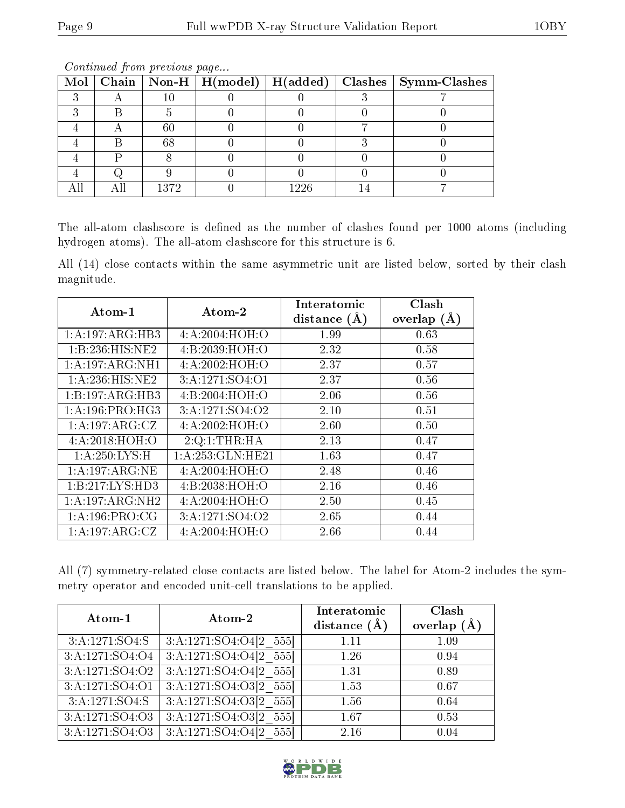|  |        |      | Mol   Chain   Non-H   H(model)   H(added)   Clashes   Symm-Clashes |
|--|--------|------|--------------------------------------------------------------------|
|  | 10     |      |                                                                    |
|  |        |      |                                                                    |
|  | $60\,$ |      |                                                                    |
|  | 68     |      |                                                                    |
|  |        |      |                                                                    |
|  |        |      |                                                                    |
|  | 1372   | 1226 |                                                                    |

Continued from previous page...

The all-atom clashscore is defined as the number of clashes found per 1000 atoms (including hydrogen atoms). The all-atom clashscore for this structure is 6.

All (14) close contacts within the same asymmetric unit are listed below, sorted by their clash magnitude.

| $\rm{Atom\text{-}1}$               | $\boldsymbol{\mathrm{Atom}\text{-}2}$ | Interatomic    | Clash         |
|------------------------------------|---------------------------------------|----------------|---------------|
|                                    |                                       | distance $(A)$ | overlap $(A)$ |
| $1:A:197:ARG:H\overline{B3}$       | 4:A:2004:HOH:O                        | 1.99           | 0.63          |
| 1:B:236:HIS:NE2                    | 4: B: 2039: HOH:O                     | 2.32           | 0.58          |
| 1:A:197:ARG:NH1                    | 4:A:2002:HOH:O                        | 2.37           | 0.57          |
| 1:A:236:HIS:NE2                    | 3:A:1271:SO4:O1                       | 2.37           | 0.56          |
| 1:B:197:ARG:HB3                    | 4:B:2004:HOH:O                        | 2.06           | 0.56          |
| 1: A:196: PRO:HG3                  | 3:A:1271:SO4:O2                       | 2.10           | 0.51          |
| 1:A:197:ARG:CZ                     | 4:A:2002:HOH:O                        | 2.60           | 0.50          |
| 4: A:2018: HOH:O                   | 2:Q:1:THR:HA                          | 2.13           | 0.47          |
| 1: A:250:LYS:H                     | 1: A:253: GLN: HE21                   | 1.63           | 0.47          |
| $1:A:197:ARG:\overline{\text{NE}}$ | 4:A:2004:HOH:O                        | 2.48           | 0.46          |
| 1:B:217:LYS:HD3                    | 4: B: 2038: HOH:O                     | 2.16           | 0.46          |
| 1:A:197:ARG:NH2                    | 4:A:2004:HOH:O                        | 2.50           | 0.45          |
| 1: A: 196: PRO: CG                 | 3:A:1271:SO4:O2                       | 2.65           | 0.44          |
| 1: A: 197: ARG: CZ                 | 4:A:2004:HOH:O                        | 2.66           | 0.44          |

All (7) symmetry-related close contacts are listed below. The label for Atom-2 includes the symmetry operator and encoded unit-cell translations to be applied.

| Atom-1              | Atom-2                     | Interatomic<br>distance $(\AA)$ | Clash<br>overlap $(A)$ |
|---------------------|----------------------------|---------------------------------|------------------------|
| 3:A:1271:SO4:S      | 3:A:1271:SO4:O4[2 555]     | 1.11                            | 1.09                   |
| 3:A:1271:SO4:O4     | 3:A:1271:SO4:O4[2 555]     | 1.26                            | 0.94                   |
| 3:A:1271:SO4:O2     | 3:A:1271:SO4:O4[2 555]     | 1.31                            | 0.89                   |
| 3: A: 1271: SO4: O1 | 3:A:1271:SO4:O3[2 555]     | 1.53                            | 0.67                   |
| 3:A:1271:SO4:S      | $3:A:1271:SO4:O3[2_555]$   | 1.56                            | 0.64                   |
| 3:A:1271:SO4:O3     | $3:A:1271:5O4:O3[2 \ 555]$ | 1.67                            | 0.53                   |
| 3:A:1271:SO4:O3     | 3:A:1271:SO4:O4[2 555]     | 2.16                            | 0.04                   |

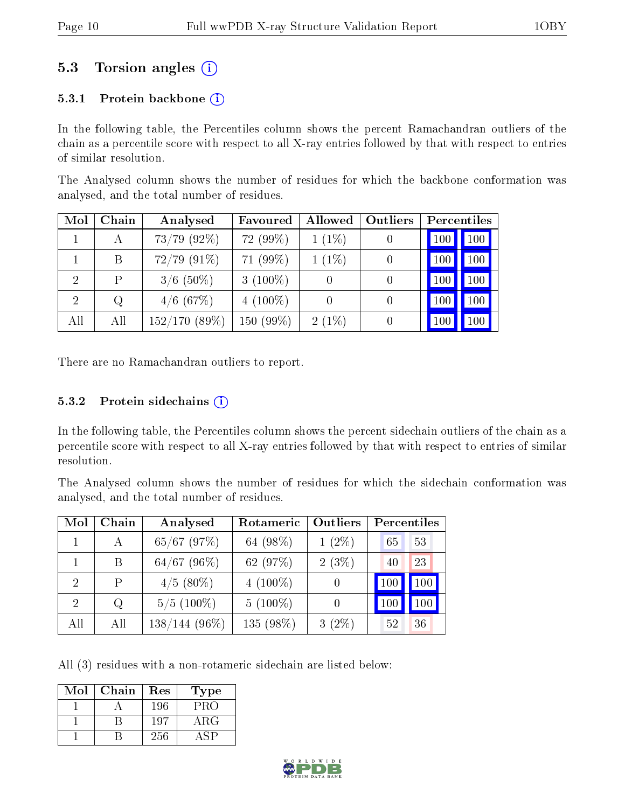### 5.3 Torsion angles  $(i)$

#### 5.3.1 Protein backbone  $(i)$

In the following table, the Percentiles column shows the percent Ramachandran outliers of the chain as a percentile score with respect to all X-ray entries followed by that with respect to entries of similar resolution.

The Analysed column shows the number of residues for which the backbone conformation was analysed, and the total number of residues.

| Mol | Chain | Analysed         | Favoured        | Allowed  | Outliers |     | <b>Percentiles</b> |
|-----|-------|------------------|-----------------|----------|----------|-----|--------------------|
|     | А     | $73/79$ $(92\%)$ | 72 (99%)        | $1(1\%)$ |          | 100 | 100 <sub>1</sub>   |
|     | B     | $72/79$ $(91\%)$ | 71 (99%)        | $1(1\%)$ | 0        | 100 | 100                |
| 2   | P     | $3/6$ (50%)      | 3 $(100\%)$     | $\theta$ | $\cup$   | 100 | 100                |
| 2   | Q     | $4/6$ (67\%)     | 4 $(100\%)$     |          | $\cup$   | 100 | 100                |
| All | All   | 152/170(89%)     | $(99\%)$<br>150 | $2(1\%)$ |          | 100 | 100                |

There are no Ramachandran outliers to report.

#### $5.3.2$  Protein sidechains  $(i)$

In the following table, the Percentiles column shows the percent sidechain outliers of the chain as a percentile score with respect to all X-ray entries followed by that with respect to entries of similar resolution.

The Analysed column shows the number of residues for which the sidechain conformation was analysed, and the total number of residues.

| Mol | Chain | Analysed        | Rotameric  | Outliers | Percentiles |         |
|-----|-------|-----------------|------------|----------|-------------|---------|
|     |       | $65/67$ (97%)   | 64 (98\%)  | $1(2\%)$ | 65          | 53      |
|     | B     | $64/67$ (96%)   | 62 (97%)   | $2(3\%)$ | 40          | 23      |
| 2   | Ρ     | $4/5$ (80%)     | $4(100\%)$ |          | 100         | $100\,$ |
| 2   | Q     | $5/5(100\%)$    | $5(100\%)$ |          | 100         |         |
| All | All   | $138/144(96\%)$ | 135 (98%)  | $3(2\%)$ | 52          | 36      |

All (3) residues with a non-rotameric sidechain are listed below:

| $\operatorname{Mol}$ | Chain | Res | Type       |
|----------------------|-------|-----|------------|
|                      |       | 196 | PRO        |
|                      |       | 197 | $\rm{ARG}$ |
|                      |       | 256 |            |

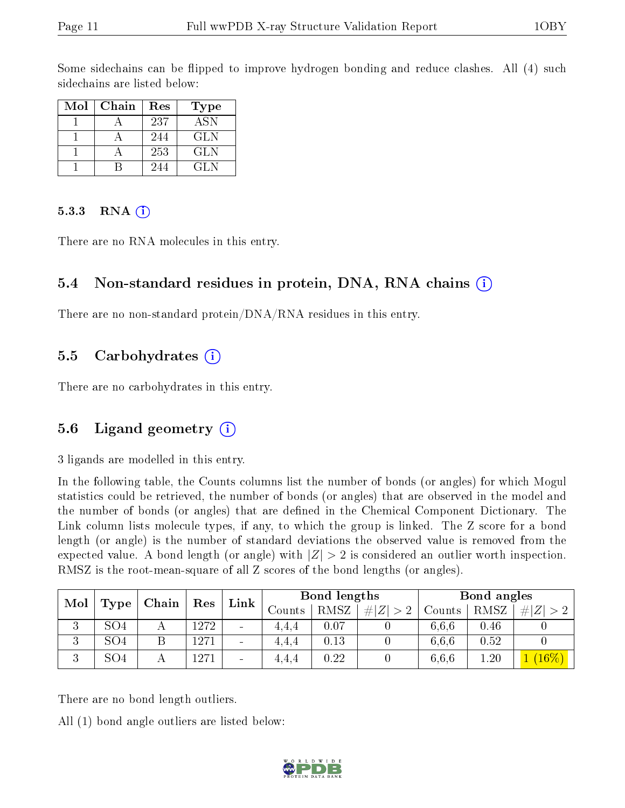Some sidechains can be flipped to improve hydrogen bonding and reduce clashes. All (4) such sidechains are listed below:

| Mol | Chain | Res | Type       |
|-----|-------|-----|------------|
|     |       | 237 | <b>ASN</b> |
|     |       | 244 | GLN        |
|     |       | 253 | GLN.       |
|     |       | 244 | GL N       |

#### 5.3.3 RNA  $(i)$

There are no RNA molecules in this entry.

#### 5.4 Non-standard residues in protein, DNA, RNA chains (i)

There are no non-standard protein/DNA/RNA residues in this entry.

#### 5.5 Carbohydrates  $(i)$

There are no carbohydrates in this entry.

### 5.6 Ligand geometry  $(i)$

3 ligands are modelled in this entry.

In the following table, the Counts columns list the number of bonds (or angles) for which Mogul statistics could be retrieved, the number of bonds (or angles) that are observed in the model and the number of bonds (or angles) that are dened in the Chemical Component Dictionary. The Link column lists molecule types, if any, to which the group is linked. The Z score for a bond length (or angle) is the number of standard deviations the observed value is removed from the expected value. A bond length (or angle) with  $|Z| > 2$  is considered an outlier worth inspection. RMSZ is the root-mean-square of all Z scores of the bond lengths (or angles).

| Mol           |                 | Chain | Res  | Link                     |        | Bond lengths |                     |        | Bond angles |          |
|---------------|-----------------|-------|------|--------------------------|--------|--------------|---------------------|--------|-------------|----------|
|               | $\Gamma$ ype    |       |      |                          | Counts | RMSZ         | #<br>Z <sub>1</sub> | Counts | RMSZ        | #        |
| ച<br>ು        | SO4             |       | 1272 | $\overline{\phantom{a}}$ | 4.4.4  | 0.07         |                     | 6,6,6  | 0.46        |          |
| $\Omega$<br>◡ | SO <sub>4</sub> |       | 1271 | $\overline{\phantom{a}}$ | 4.4.4  | 0.13         |                     | 6.6.6  | 0.52        |          |
| ച<br>◡        | SO <sub>4</sub> |       | 1271 | $\overline{\phantom{a}}$ | 4.4.4  | $0.22\,$     |                     | 6.6.6  | $1.20^{-}$  | $(16\%)$ |

There are no bond length outliers.

All (1) bond angle outliers are listed below:

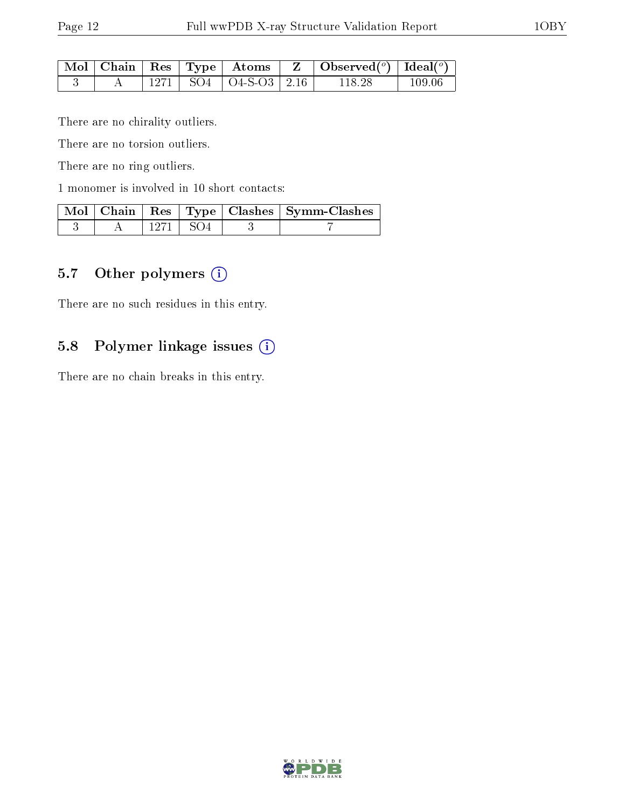|  |  |                             | $\mid$ Mol $\mid$ Chain $\mid$ Res $\mid$ Type $\mid$ Atoms $\mid$ Z $\mid$ Observed( $^o$ ) $\mid$ Ideal( $^o$ ) $\mid$ |         |
|--|--|-----------------------------|--------------------------------------------------------------------------------------------------------------------------|---------|
|  |  | 1271   SO4   O4-S-O3   2.16 | 118.28                                                                                                                   | -109.06 |

There are no chirality outliers.

There are no torsion outliers.

There are no ring outliers.

1 monomer is involved in 10 short contacts:

|  |            |  | Mol   Chain   Res   Type   Clashes   Symm-Clashes |
|--|------------|--|---------------------------------------------------|
|  | 1271   SO4 |  |                                                   |

### 5.7 [O](https://www.wwpdb.org/validation/2017/XrayValidationReportHelp#nonstandard_residues_and_ligands)ther polymers  $(i)$

There are no such residues in this entry.

### 5.8 Polymer linkage issues (i)

There are no chain breaks in this entry.

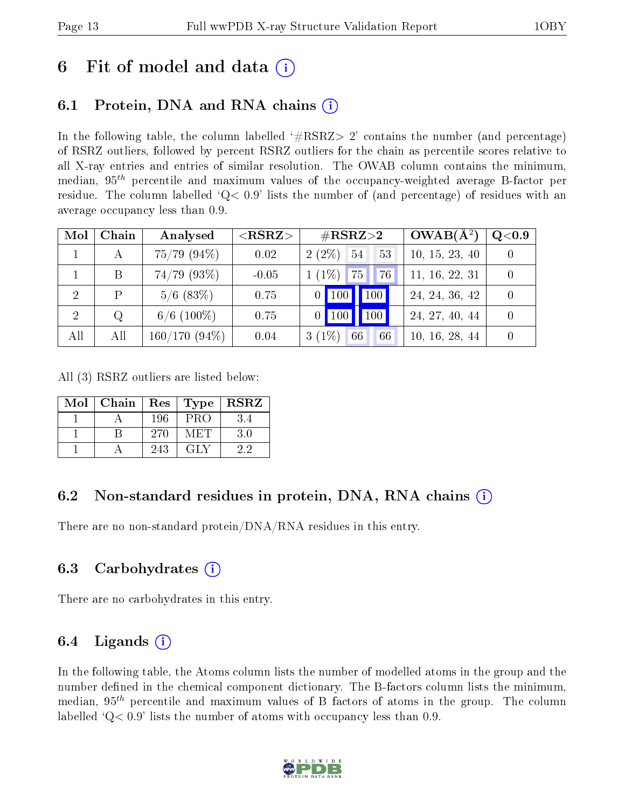## 6 Fit of model and data  $\left( \cdot \right)$

## 6.1 Protein, DNA and RNA chains (i)

In the following table, the column labelled  $#RSRZ>2'$  contains the number (and percentage) of RSRZ outliers, followed by percent RSRZ outliers for the chain as percentile scores relative to all X-ray entries and entries of similar resolution. The OWAB column contains the minimum, median,  $95<sup>th</sup>$  percentile and maximum values of the occupancy-weighted average B-factor per residue. The column labelled  $Q< 0.9$  lists the number of (and percentage) of residues with an average occupancy less than 0.9.

| Mol            | Chain | Analysed         | ${ <\hspace{-1.5pt}{\mathrm{RSRZ}} \hspace{-1.5pt}>}$ | $\#\text{RSRZ}{>}2$  | $OWAB(A^2)$    | Q <sub>0.9</sub> |
|----------------|-------|------------------|-------------------------------------------------------|----------------------|----------------|------------------|
|                |       | $75/79$ $(94\%)$ | 0.02                                                  | $2(2\%)$ 54<br>53    | 10, 15, 23, 40 |                  |
|                | Β     | $74/79$ (93\%)   | $-0.05$                                               | $1(1\%)$<br>76<br>75 | 11, 16, 22, 31 |                  |
| $\overline{2}$ | P     | $5/6$ (83\%)     | 0.75                                                  | 100<br>$0$   100     | 24, 24, 36, 42 |                  |
| 2              | Q     | $6/6$ (100\%)    | 0.75                                                  | 100<br>$0$   100     | 24, 27, 40, 44 |                  |
| All            | All   | $160/170(94\%)$  | 0.04                                                  | $3(1\%)$<br>66<br>66 | 10, 16, 28, 44 |                  |

All (3) RSRZ outliers are listed below:

| Mol | Chain | Res <sub>1</sub> | Type | <b>RSRZ</b> |
|-----|-------|------------------|------|-------------|
|     |       | 196              | PRO  | 3.4         |
|     |       | 270              | METE | 3.0         |
|     |       | 243              | GLY  | 22          |

### 6.2 Non-standard residues in protein, DNA, RNA chains (i)

There are no non-standard protein/DNA/RNA residues in this entry.

### 6.3 Carbohydrates  $(i)$

There are no carbohydrates in this entry.

### 6.4 Ligands  $(i)$

In the following table, the Atoms column lists the number of modelled atoms in the group and the number defined in the chemical component dictionary. The B-factors column lists the minimum, median,  $95<sup>th</sup>$  percentile and maximum values of B factors of atoms in the group. The column labelled  $Q< 0.9$  lists the number of atoms with occupancy less than 0.9.